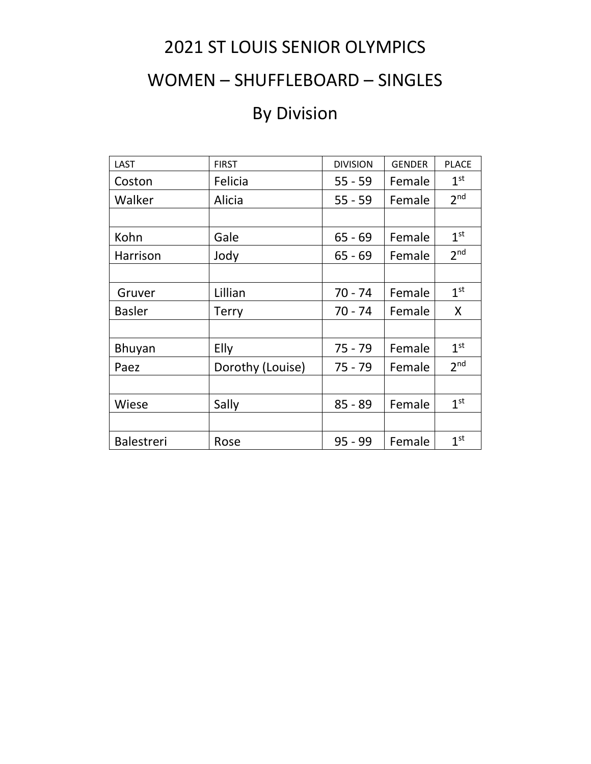## 2021 ST LOUIS SENIOR OLYMPICS

### WOMEN – SHUFFLEBOARD – SINGLES

# By Division

| <b>LAST</b>       | <b>FIRST</b>     | <b>DIVISION</b> | <b>GENDER</b> | <b>PLACE</b>    |
|-------------------|------------------|-----------------|---------------|-----------------|
| Coston            | Felicia          | $55 - 59$       | Female        | 1 <sup>st</sup> |
| Walker            | Alicia           | $55 - 59$       | Female        | 2 <sup>nd</sup> |
|                   |                  |                 |               |                 |
| Kohn              | Gale             | $65 - 69$       | Female        | 1 <sup>st</sup> |
| Harrison          | Jody             | $65 - 69$       | Female        | 2 <sub>nd</sub> |
|                   |                  |                 |               |                 |
| Gruver            | Lillian          | $70 - 74$       | Female        | 1 <sup>st</sup> |
| <b>Basler</b>     | <b>Terry</b>     | $70 - 74$       | Female        | X               |
|                   |                  |                 |               |                 |
| Bhuyan            | Elly             | $75 - 79$       | Female        | 1 <sup>st</sup> |
| Paez              | Dorothy (Louise) | $75 - 79$       | Female        | 2 <sub>nd</sub> |
|                   |                  |                 |               |                 |
| Wiese             | Sally            | $85 - 89$       | Female        | 1 <sup>st</sup> |
|                   |                  |                 |               |                 |
| <b>Balestreri</b> | Rose             | $95 - 99$       | Female        | 1 <sup>st</sup> |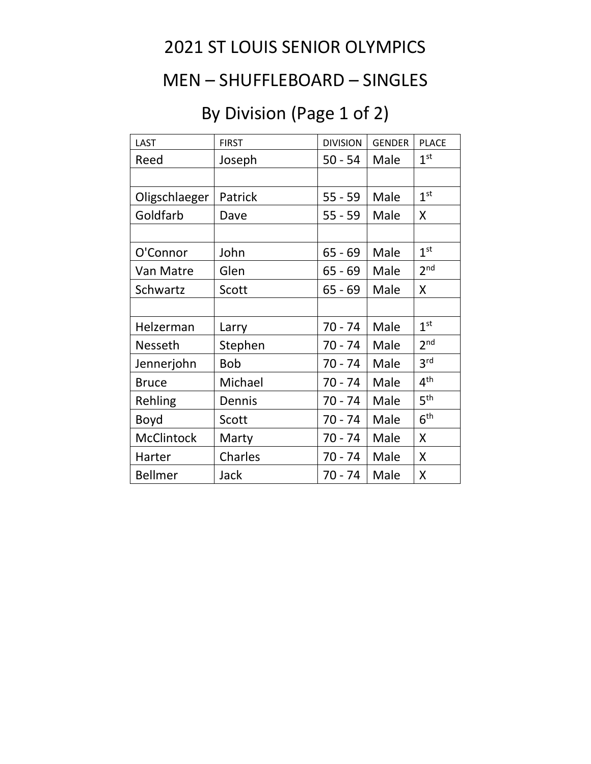## 2021 ST LOUIS SENIOR OLYMPICS

#### MEN – SHUFFLEBOARD – SINGLES

# By Division (Page 1 of 2)

| LAST           | <b>FIRST</b> | <b>DIVISION</b> | <b>GENDER</b> | <b>PLACE</b>    |
|----------------|--------------|-----------------|---------------|-----------------|
| Reed           | Joseph       | $50 - 54$       | Male          | 1 <sup>st</sup> |
|                |              |                 |               |                 |
| Oligschlaeger  | Patrick      | $55 - 59$       | Male          | 1 <sup>st</sup> |
| Goldfarb       | Dave         | $55 - 59$       | Male          | X               |
|                |              |                 |               |                 |
| O'Connor       | John         | $65 - 69$       | Male          | 1 <sup>st</sup> |
| Van Matre      | Glen         | $65 - 69$       | Male          | 2 <sub>nd</sub> |
| Schwartz       | Scott        | $65 - 69$       | Male          | Χ               |
|                |              |                 |               |                 |
| Helzerman      | Larry        | $70 - 74$       | Male          | 1 <sup>st</sup> |
| Nesseth        | Stephen      | 70 - 74         | Male          | 2 <sup>nd</sup> |
| Jennerjohn     | <b>Bob</b>   | $70 - 74$       | Male          | 3 <sup>rd</sup> |
| <b>Bruce</b>   | Michael      | 70 - 74         | Male          | 4 <sup>th</sup> |
| Rehling        | Dennis       | $70 - 74$       | Male          | 5 <sup>th</sup> |
| Boyd           | Scott        | 70 - 74         | Male          | 6 <sup>th</sup> |
| McClintock     | Marty        | 70 - 74         | Male          | X               |
| Harter         | Charles      | 70 - 74         | Male          | Χ               |
| <b>Bellmer</b> | Jack         | 70 - 74         | Male          | Χ               |